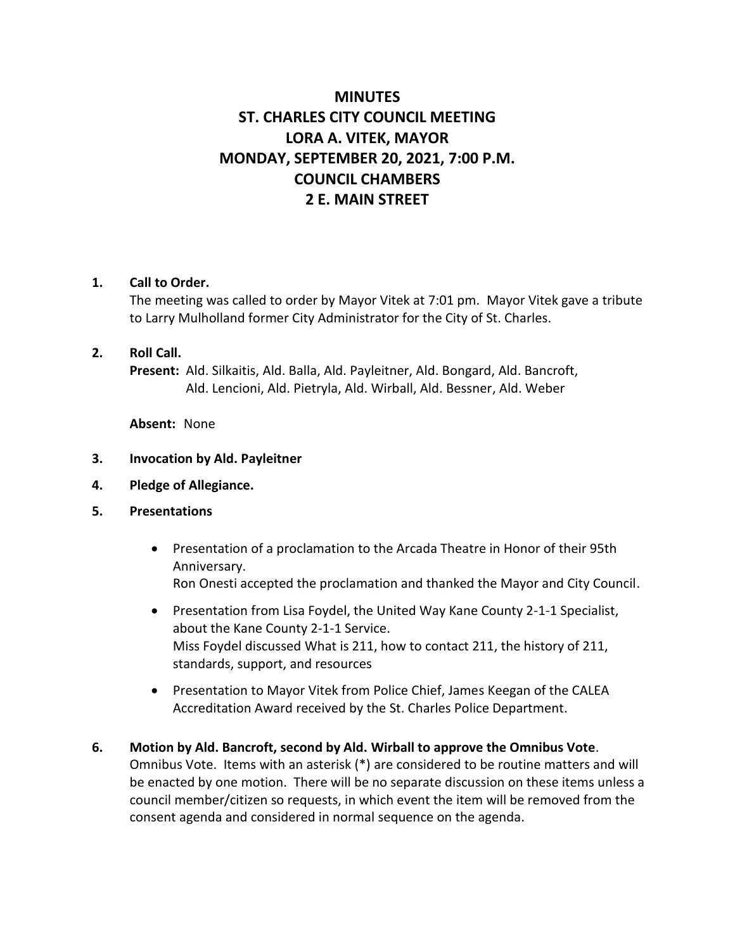# **MINUTES ST. CHARLES CITY COUNCIL MEETING LORA A. VITEK, MAYOR MONDAY, SEPTEMBER 20, 2021, 7:00 P.M. COUNCIL CHAMBERS 2 E. MAIN STREET**

### **1. Call to Order.**

The meeting was called to order by Mayor Vitek at 7:01 pm. Mayor Vitek gave a tribute to Larry Mulholland former City Administrator for the City of St. Charles.

#### **2. Roll Call.**

**Present:** Ald. Silkaitis, Ald. Balla, Ald. Payleitner, Ald. Bongard, Ald. Bancroft, Ald. Lencioni, Ald. Pietryla, Ald. Wirball, Ald. Bessner, Ald. Weber

**Absent:** None

- **3. Invocation by Ald. Payleitner**
- **4. Pledge of Allegiance.**
- **5. Presentations**
	- Presentation of a proclamation to the Arcada Theatre in Honor of their 95th Anniversary. Ron Onesti accepted the proclamation and thanked the Mayor and City Council.
	- Presentation from Lisa Foydel, the United Way Kane County 2-1-1 Specialist, about the Kane County 2-1-1 Service. Miss Foydel discussed What is 211, how to contact 211, the history of 211, standards, support, and resources
	- Presentation to Mayor Vitek from Police Chief, James Keegan of the CALEA Accreditation Award received by the St. Charles Police Department.
- **6. Motion by Ald. Bancroft, second by Ald. Wirball to approve the Omnibus Vote**. Omnibus Vote. Items with an asterisk (\*) are considered to be routine matters and will be enacted by one motion. There will be no separate discussion on these items unless a council member/citizen so requests, in which event the item will be removed from the consent agenda and considered in normal sequence on the agenda.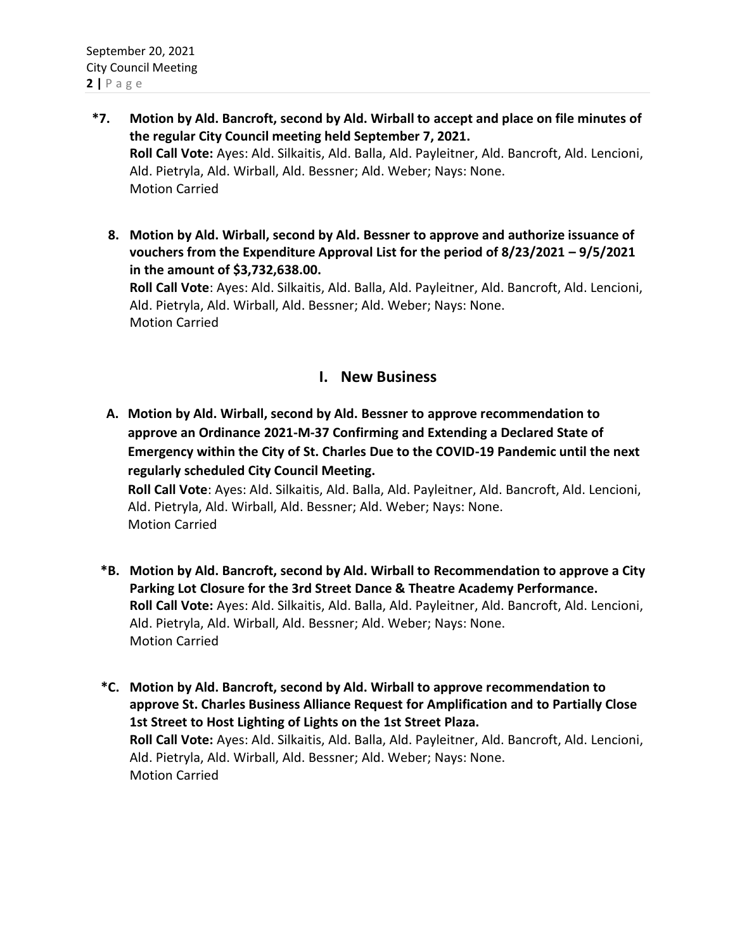- **\*7. Motion by Ald. Bancroft, second by Ald. Wirball to accept and place on file minutes of the regular City Council meeting held September 7, 2021. Roll Call Vote:** Ayes: Ald. Silkaitis, Ald. Balla, Ald. Payleitner, Ald. Bancroft, Ald. Lencioni, Ald. Pietryla, Ald. Wirball, Ald. Bessner; Ald. Weber; Nays: None. Motion Carried
	- **8. Motion by Ald. Wirball, second by Ald. Bessner to approve and authorize issuance of vouchers from the Expenditure Approval List for the period of 8/23/2021 – 9/5/2021 in the amount of \$3,732,638.00.**

**Roll Call Vote**: Ayes: Ald. Silkaitis, Ald. Balla, Ald. Payleitner, Ald. Bancroft, Ald. Lencioni, Ald. Pietryla, Ald. Wirball, Ald. Bessner; Ald. Weber; Nays: None. Motion Carried

## **I. New Business**

**A. Motion by Ald. Wirball, second by Ald. Bessner to approve recommendation to approve an Ordinance 2021-M-37 Confirming and Extending a Declared State of Emergency within the City of St. Charles Due to the COVID-19 Pandemic until the next regularly scheduled City Council Meeting.**

**Roll Call Vote**: Ayes: Ald. Silkaitis, Ald. Balla, Ald. Payleitner, Ald. Bancroft, Ald. Lencioni, Ald. Pietryla, Ald. Wirball, Ald. Bessner; Ald. Weber; Nays: None. Motion Carried

- **\*B. Motion by Ald. Bancroft, second by Ald. Wirball to Recommendation to approve a City Parking Lot Closure for the 3rd Street Dance & Theatre Academy Performance. Roll Call Vote:** Ayes: Ald. Silkaitis, Ald. Balla, Ald. Payleitner, Ald. Bancroft, Ald. Lencioni, Ald. Pietryla, Ald. Wirball, Ald. Bessner; Ald. Weber; Nays: None. Motion Carried
- **\*C. Motion by Ald. Bancroft, second by Ald. Wirball to approve recommendation to approve St. Charles Business Alliance Request for Amplification and to Partially Close 1st Street to Host Lighting of Lights on the 1st Street Plaza. Roll Call Vote:** Ayes: Ald. Silkaitis, Ald. Balla, Ald. Payleitner, Ald. Bancroft, Ald. Lencioni, Ald. Pietryla, Ald. Wirball, Ald. Bessner; Ald. Weber; Nays: None. Motion Carried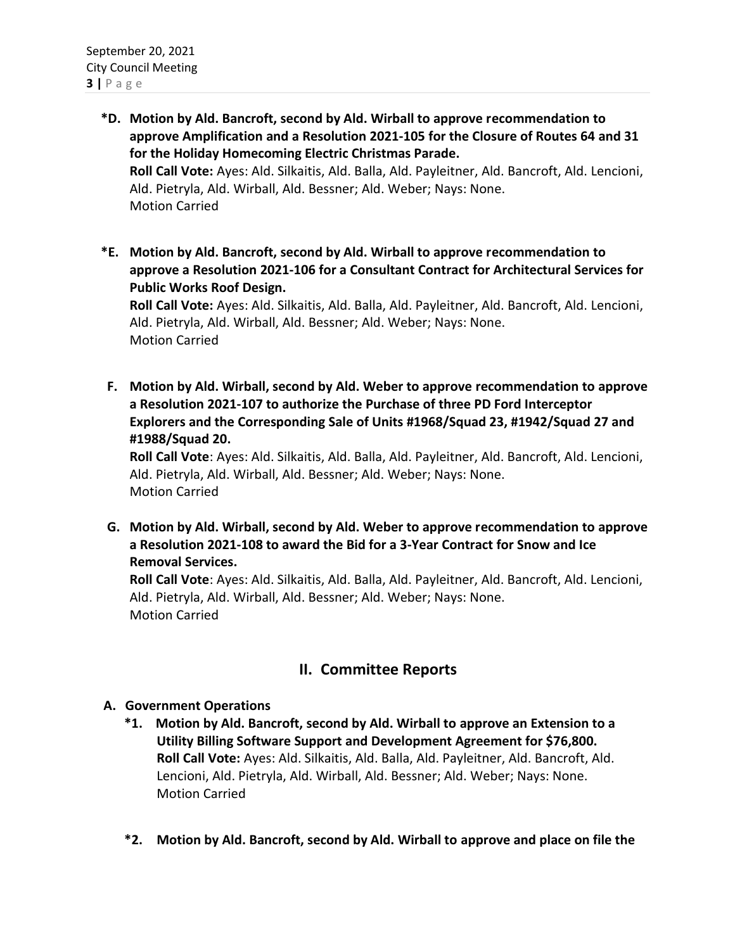- **\*D. Motion by Ald. Bancroft, second by Ald. Wirball to approve recommendation to approve Amplification and a Resolution 2021-105 for the Closure of Routes 64 and 31 for the Holiday Homecoming Electric Christmas Parade. Roll Call Vote:** Ayes: Ald. Silkaitis, Ald. Balla, Ald. Payleitner, Ald. Bancroft, Ald. Lencioni, Ald. Pietryla, Ald. Wirball, Ald. Bessner; Ald. Weber; Nays: None. Motion Carried
- **\*E. Motion by Ald. Bancroft, second by Ald. Wirball to approve recommendation to approve a Resolution 2021-106 for a Consultant Contract for Architectural Services for Public Works Roof Design.**

**Roll Call Vote:** Ayes: Ald. Silkaitis, Ald. Balla, Ald. Payleitner, Ald. Bancroft, Ald. Lencioni, Ald. Pietryla, Ald. Wirball, Ald. Bessner; Ald. Weber; Nays: None. Motion Carried

**F. Motion by Ald. Wirball, second by Ald. Weber to approve recommendation to approve a Resolution 2021-107 to authorize the Purchase of three PD Ford Interceptor Explorers and the Corresponding Sale of Units #1968/Squad 23, #1942/Squad 27 and #1988/Squad 20.**

**Roll Call Vote**: Ayes: Ald. Silkaitis, Ald. Balla, Ald. Payleitner, Ald. Bancroft, Ald. Lencioni, Ald. Pietryla, Ald. Wirball, Ald. Bessner; Ald. Weber; Nays: None. Motion Carried

**G. Motion by Ald. Wirball, second by Ald. Weber to approve recommendation to approve a Resolution 2021-108 to award the Bid for a 3-Year Contract for Snow and Ice Removal Services.** 

**Roll Call Vote**: Ayes: Ald. Silkaitis, Ald. Balla, Ald. Payleitner, Ald. Bancroft, Ald. Lencioni, Ald. Pietryla, Ald. Wirball, Ald. Bessner; Ald. Weber; Nays: None. Motion Carried

## **II. Committee Reports**

### **A. Government Operations**

- **\*1. Motion by Ald. Bancroft, second by Ald. Wirball to approve an Extension to a Utility Billing Software Support and Development Agreement for \$76,800. Roll Call Vote:** Ayes: Ald. Silkaitis, Ald. Balla, Ald. Payleitner, Ald. Bancroft, Ald. Lencioni, Ald. Pietryla, Ald. Wirball, Ald. Bessner; Ald. Weber; Nays: None. Motion Carried
- **\*2. Motion by Ald. Bancroft, second by Ald. Wirball to approve and place on file the**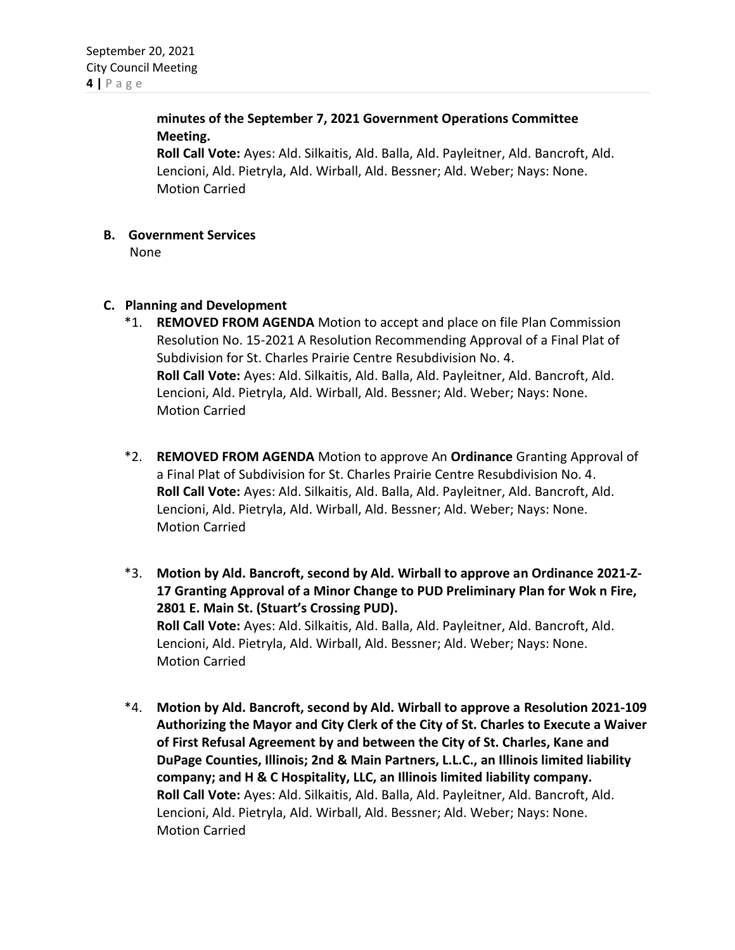**minutes of the September 7, 2021 Government Operations Committee Meeting.**

**Roll Call Vote:** Ayes: Ald. Silkaitis, Ald. Balla, Ald. Payleitner, Ald. Bancroft, Ald. Lencioni, Ald. Pietryla, Ald. Wirball, Ald. Bessner; Ald. Weber; Nays: None. Motion Carried

- **B. Government Services**
	- None
- **C. Planning and Development**
	- \*1. **REMOVED FROM AGENDA** Motion to accept and place on file Plan Commission Resolution No. 15-2021 A Resolution Recommending Approval of a Final Plat of Subdivision for St. Charles Prairie Centre Resubdivision No. 4. **Roll Call Vote:** Ayes: Ald. Silkaitis, Ald. Balla, Ald. Payleitner, Ald. Bancroft, Ald. Lencioni, Ald. Pietryla, Ald. Wirball, Ald. Bessner; Ald. Weber; Nays: None. Motion Carried
	- \*2. **REMOVED FROM AGENDA** Motion to approve An **Ordinance** Granting Approval of a Final Plat of Subdivision for St. Charles Prairie Centre Resubdivision No. 4. **Roll Call Vote:** Ayes: Ald. Silkaitis, Ald. Balla, Ald. Payleitner, Ald. Bancroft, Ald. Lencioni, Ald. Pietryla, Ald. Wirball, Ald. Bessner; Ald. Weber; Nays: None. Motion Carried
	- \*3. **Motion by Ald. Bancroft, second by Ald. Wirball to approve an Ordinance 2021-Z-17 Granting Approval of a Minor Change to PUD Preliminary Plan for Wok n Fire, 2801 E. Main St. (Stuart's Crossing PUD). Roll Call Vote:** Ayes: Ald. Silkaitis, Ald. Balla, Ald. Payleitner, Ald. Bancroft, Ald. Lencioni, Ald. Pietryla, Ald. Wirball, Ald. Bessner; Ald. Weber; Nays: None. Motion Carried
	- \*4. **Motion by Ald. Bancroft, second by Ald. Wirball to approve a Resolution 2021-109 Authorizing the Mayor and City Clerk of the City of St. Charles to Execute a Waiver of First Refusal Agreement by and between the City of St. Charles, Kane and DuPage Counties, Illinois; 2nd & Main Partners, L.L.C., an Illinois limited liability company; and H & C Hospitality, LLC, an Illinois limited liability company. Roll Call Vote:** Ayes: Ald. Silkaitis, Ald. Balla, Ald. Payleitner, Ald. Bancroft, Ald. Lencioni, Ald. Pietryla, Ald. Wirball, Ald. Bessner; Ald. Weber; Nays: None. Motion Carried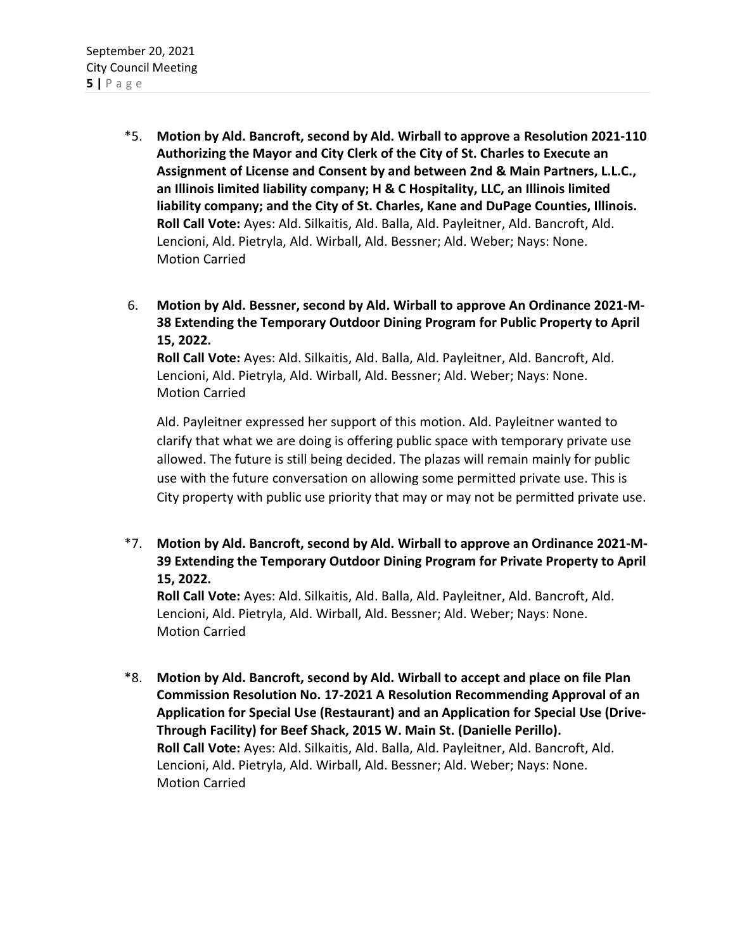- \*5. **Motion by Ald. Bancroft, second by Ald. Wirball to approve a Resolution 2021-110 Authorizing the Mayor and City Clerk of the City of St. Charles to Execute an Assignment of License and Consent by and between 2nd & Main Partners, L.L.C., an Illinois limited liability company; H & C Hospitality, LLC, an Illinois limited liability company; and the City of St. Charles, Kane and DuPage Counties, Illinois. Roll Call Vote:** Ayes: Ald. Silkaitis, Ald. Balla, Ald. Payleitner, Ald. Bancroft, Ald. Lencioni, Ald. Pietryla, Ald. Wirball, Ald. Bessner; Ald. Weber; Nays: None. Motion Carried
- 6. **Motion by Ald. Bessner, second by Ald. Wirball to approve An Ordinance 2021-M-38 Extending the Temporary Outdoor Dining Program for Public Property to April 15, 2022.**

**Roll Call Vote:** Ayes: Ald. Silkaitis, Ald. Balla, Ald. Payleitner, Ald. Bancroft, Ald. Lencioni, Ald. Pietryla, Ald. Wirball, Ald. Bessner; Ald. Weber; Nays: None. Motion Carried

Ald. Payleitner expressed her support of this motion. Ald. Payleitner wanted to clarify that what we are doing is offering public space with temporary private use allowed. The future is still being decided. The plazas will remain mainly for public use with the future conversation on allowing some permitted private use. This is City property with public use priority that may or may not be permitted private use.

\*7. **Motion by Ald. Bancroft, second by Ald. Wirball to approve an Ordinance 2021-M-39 Extending the Temporary Outdoor Dining Program for Private Property to April 15, 2022.** 

**Roll Call Vote:** Ayes: Ald. Silkaitis, Ald. Balla, Ald. Payleitner, Ald. Bancroft, Ald. Lencioni, Ald. Pietryla, Ald. Wirball, Ald. Bessner; Ald. Weber; Nays: None. Motion Carried

\*8. **Motion by Ald. Bancroft, second by Ald. Wirball to accept and place on file Plan Commission Resolution No. 17-2021 A Resolution Recommending Approval of an Application for Special Use (Restaurant) and an Application for Special Use (Drive-Through Facility) for Beef Shack, 2015 W. Main St. (Danielle Perillo). Roll Call Vote:** Ayes: Ald. Silkaitis, Ald. Balla, Ald. Payleitner, Ald. Bancroft, Ald. Lencioni, Ald. Pietryla, Ald. Wirball, Ald. Bessner; Ald. Weber; Nays: None. Motion Carried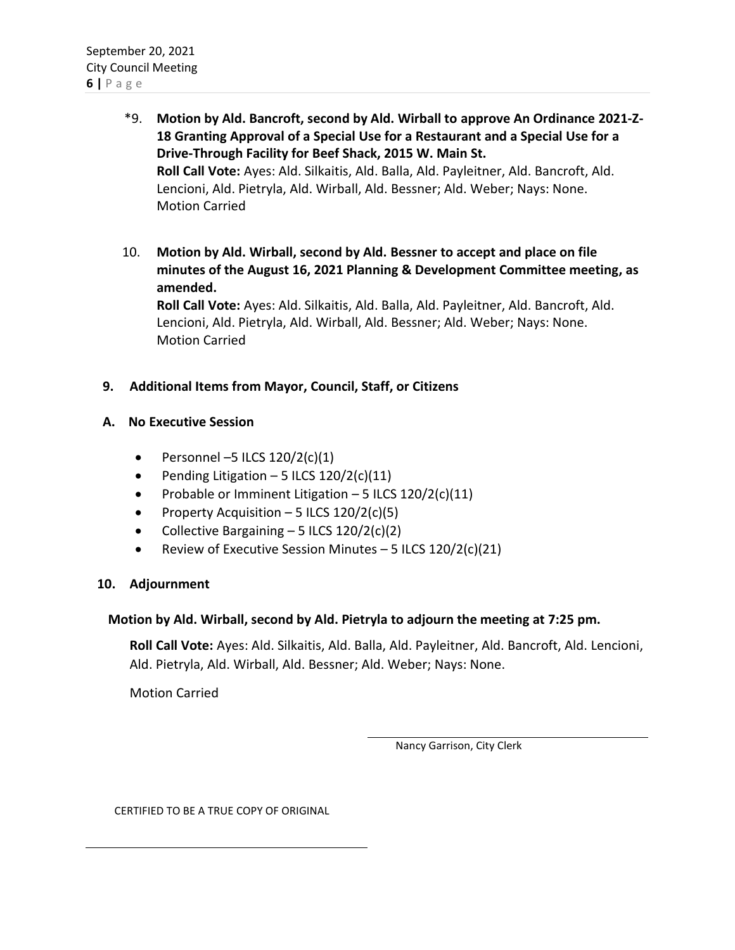- \*9. **Motion by Ald. Bancroft, second by Ald. Wirball to approve An Ordinance 2021-Z-18 Granting Approval of a Special Use for a Restaurant and a Special Use for a Drive-Through Facility for Beef Shack, 2015 W. Main St. Roll Call Vote:** Ayes: Ald. Silkaitis, Ald. Balla, Ald. Payleitner, Ald. Bancroft, Ald. Lencioni, Ald. Pietryla, Ald. Wirball, Ald. Bessner; Ald. Weber; Nays: None. Motion Carried
- 10. **Motion by Ald. Wirball, second by Ald. Bessner to accept and place on file minutes of the August 16, 2021 Planning & Development Committee meeting, as amended. Roll Call Vote:** Ayes: Ald. Silkaitis, Ald. Balla, Ald. Payleitner, Ald. Bancroft, Ald.

Lencioni, Ald. Pietryla, Ald. Wirball, Ald. Bessner; Ald. Weber; Nays: None. Motion Carried

#### **9. Additional Items from Mayor, Council, Staff, or Citizens**

#### **A. No Executive Session**

- Personnel –5 ILCS  $120/2(c)(1)$
- Pending Litigation 5 ILCS  $120/2(c)(11)$
- Probable or Imminent Litigation 5 ILCS 120/2(c)(11)
- Property Acquisition 5 ILCS  $120/2(c)(5)$
- Collective Bargaining  $-5$  ILCS  $120/2(c)(2)$
- Review of Executive Session Minutes 5 ILCS  $120/2(c)(21)$

#### **10. Adjournment**

#### **Motion by Ald. Wirball, second by Ald. Pietryla to adjourn the meeting at 7:25 pm.**

**Roll Call Vote:** Ayes: Ald. Silkaitis, Ald. Balla, Ald. Payleitner, Ald. Bancroft, Ald. Lencioni, Ald. Pietryla, Ald. Wirball, Ald. Bessner; Ald. Weber; Nays: None.

Motion Carried

Nancy Garrison, City Clerk

CERTIFIED TO BE A TRUE COPY OF ORIGINAL